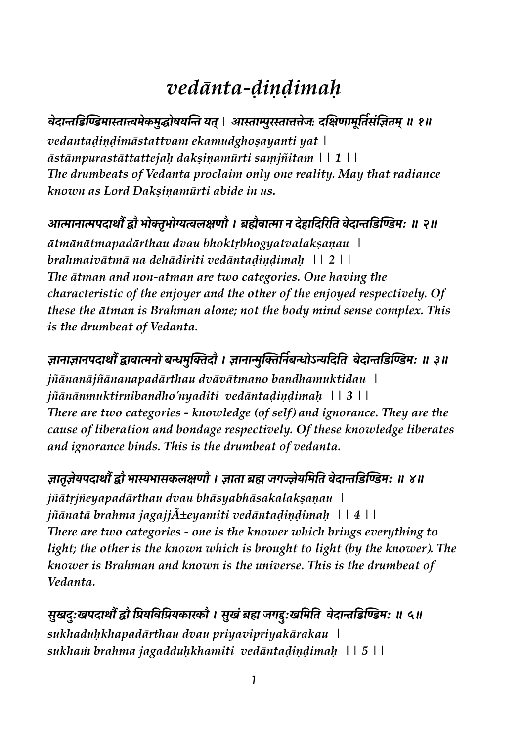# *vedānta-ḍiṇḍimaḥ*

# **!"#\$% &' () \*\$+\$T\*"-\*./012 %3 245** *|* **6\$+\$7.8+\$99":***:* **#<;=\$\*>'4 ?@ACB4\*5D ED**

*vedantaḍiṇḍimāstattvam ekamudghoṣayanti yat | āstāmpurastāttattejaḥ dakṣiṇamūrti saṃjñitam || 1 || The drumbeats of Vedanta proclaim only one reality. May that radiance known as Lord Dakṣiṇamūrti abide in us.* 

## **FG\$H\$GI#\$JKLM N0OPN0QRS;=M । UVW!\$G\$ <sup>H</sup> #"X\$ #Y 8Z 4' !"#\$% &' () \*[ <sup>D</sup> \D**

*ātmānātmapadārthau dvau bhoktṛbhogyatvalakṣaṇau | brahmaivātmā na dehādiriti vedāntaḍiṇḍimaḥ || 2 || The ātman and non-atman are two categories. One having the characteristic of the enjoyer and the other of the enjoyed respectively. Of these the ātman is Brahman alone; not the body mind sense complex. This is the drumbeat of Vedanta.*

## **B\$H\$B\$HI#\$JKL\$!\$GH0 ]^\*. O\_ #M । B\$H\$`.\_OYH ?]^0abY#'4 !"#\$% &' () \*[ <sup>D</sup> cD**

*jñānanājñānanapadārthau dvāvātmano bandhamuktidau | jñānānmuktirnibandho'nyaditi vedāntaḍiṇḍimaḥ || 3 || There are two categories - knowledge (of self) and ignorance. They are the cause of liberation and bondage respectively. Of these knowledge liberates and ignorance binds. This is the drumbeat of vedanta.* 

## **B\$4PB"2I#\$JKLM N\$dN\$@-S;=M । B\$4\$ UV :eJ"2 \*' 4' !"#\$% &' () \*[ <sup>D</sup> gD**

*jñātṛjñeyapadārthau dvau bhāsyabhāsakalakṣaṇau | jñānatā brahma jagajjñeyamiti vedāntaḍiṇḍimaḥ || 4 || There are two categories - one is the knower which brings everything to light; the other is the known which is brought to light (by the knower). The knower is Brahman and known is the universe. This is the drumbeat of Vedanta.* 

सुखदुःखपदार्थौं द्वौ प्रियविप्रियकारकौ । सुखं ब्रह्म जगद्दुःखमिति वेदान्तडिण्डिमः ॥ ५ ॥ *sukhaduḥkhapadārthau dvau priyavipriyakārakau | sukhaṁ brahma jagadduḥkhamiti vedāntaḍiṇḍimaḥ || 5 ||*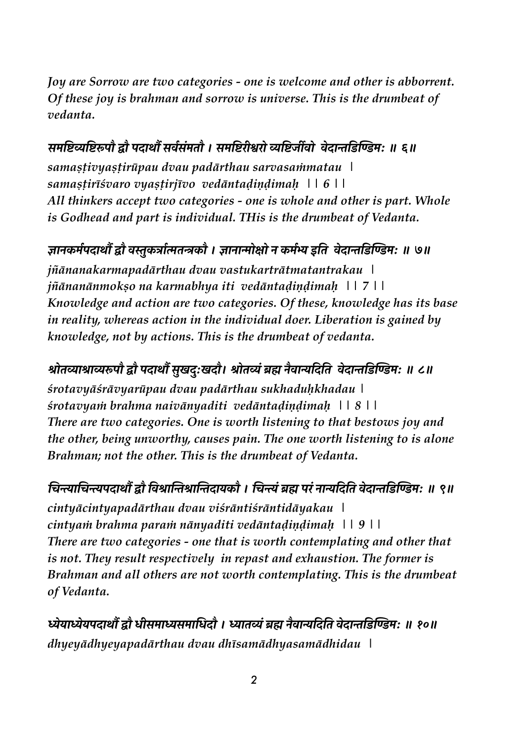*Joy are Sorrow are two categories - one is welcome and other is abborrent. Of these joy is brahman and sorrow is universe. This is the drumbeat of vedanta.* 

## समष्टिव्यष्टिरूपौ द्वौ पदार्थौ सर्वसंमतौ । समष्टिरीश्वरो व्यष्टिर्जीवो वेदान्तडिण्डिम: ॥ ६॥

*samaṣṭivyaṣṭirūpau dvau padārthau sarvasaṁmatau | samaṣṭirīśvaro vyaṣṭirjīvo vedāntaḍiṇḍimaḥ || 6 || All thinkers accept two categories - one is whole and other is part. Whole is Godhead and part is individual. THis is the drumbeat of Vedanta.*

### ज्ञानकर्मपदार्थों द्वौ वस्तुकर्त्रात्मतन्त्रकौ । ज्ञानान्मोक्षो न कर्मभ्य इति वेदान्तडिण्डिम: ॥ ७॥

*jñānanakarmapadārthau dvau vastukartrātmatantrakau | jñānanānmokṣo na karmabhya iti vedāntaḍiṇḍimaḥ || 7 || Knowledge and action are two categories. Of these, knowledge has its base in reality, whereas action in the individual doer. Liberation is gained by knowledge, not by actions. This is the drumbeat of vedanta.* 

## **z04n\$z\$noIM LM I#\$JK@.h#[h#M। . z04nAUV HW!\$b #Y 4' !"#\$% &' () \*[ <sup>D</sup> {D**

*śrotavyāśrāvyarūpau dvau padārthau sukhaduḥkhadau | śrotavyaṁ brahma naivānyaditi vedāntaḍiṇḍimaḥ || 8 || There are two categories. One is worth listening to that bestows joy and the other, being unworthy, causes pain. The one worth listening to is alone Brahman; not the other. This is the drumbeat of Vedanta.* 

## चिन्त्याचिन्त्यपदार्थौ द्वौ विश्रान्तिश्रान्तिदायकौ । चिन्त्यं ब्रह्म परं नान्यदिति वेदान्तडिण्डिम: ॥ ९॥

*cintyācintyapadārthau dvau viśrāntiśrāntidāyakau | cintyaṁ brahma paraṁ nānyaditi vedāntaḍiṇḍimaḥ || 9 || There are two categories - one that is worth contemplating and other that is not. They result respectively in repast and exhaustion. The former is Brahman and all others are not worth contemplating. This is the drumbeat of Vedanta.* 

**"2\$"2I#\$JKLM q@\*\$@\*\$ #M । \$4nAUV HW!\$b #Y 4' !"#\$% &' () \*[ <sup>D</sup> ED** *dhyeyādhyeyapadārthau dvau dhīsamādhyasamādhidau |*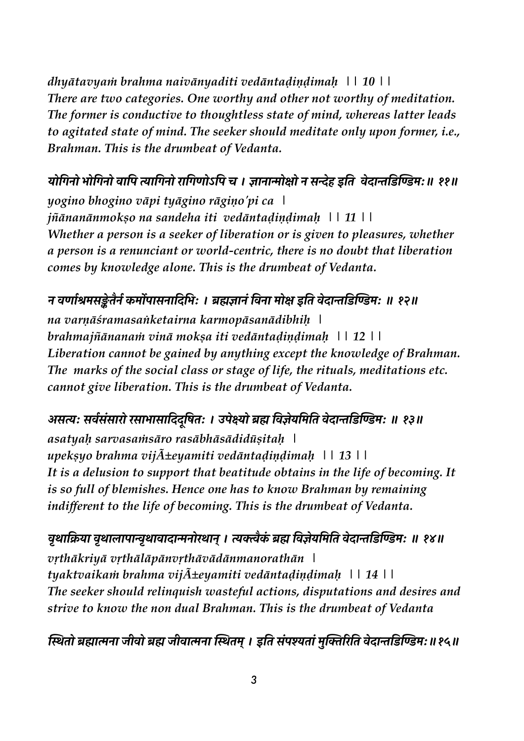*dhyātavyaṁ brahma naivānyaditi vedāntaḍiṇḍimaḥ || 10 || There are two categories. One worthy and other not worthy of meditation. The former is conductive to thoughtless state of mind, whereas latter leads to agitated state of mind. The seeker should meditate only upon former, i.e., Brahman. This is the drumbeat of Vedanta.* 

## योगिनो भोगिनो वापि त्यागिनो रागिणोऽपि च । ज्ञानान्मोक्षो न सन्देह इति वेदान्तडिण्डिमः॥ ११॥

*yogino bhogino vāpi tyāgino rāgiṇo'pi ca | jñānanānmokṣo na sandeha iti vedāntaḍiṇḍimaḥ || 11 || Whether a person is a seeker of liberation or is given to pleasures, whether a person is a renunciant or world-centric, there is no doubt that liberation comes by knowledge alone. This is the drumbeat of Vedanta.* 

## न वर्णाश्रमसङ्केतैर्न कर्मोपासनादिभिः । ब्रह्मज्ञानं विना मोक्ष इति वेदान्तडिण्डिमः ॥ १२॥

*na varṇāśramasaṅketairna karmopāsanādibhiḥ | brahmajñānanaṁ vinā mokṣa iti vedāntaḍiṇḍimaḥ || 12 || Liberation cannot be gained by anything except the knowledge of Brahman. The marks of the social class or stage of life, the rituals, meditations etc. cannot give liberation. This is the drumbeat of Vedanta.* 

## असत्यः सर्वसंसारो रसाभासादिदुषितः । उपेक्ष्यो ब्रह्म विज्ञेयमिति वेदान्तडिण्डिमः ॥ १३॥

*asatyaḥ sarvasaṁsāro rasābhāsādidūṣitaḥ | upekşyo brahma vij* $\tilde{A}$  $\pm$ eyamiti ved*āntaḍiṇḍimaḥ* || 13 || *It is a delusion to support that beatitude obtains in the life of becoming. It is so full of blemishes. Hence one has to know Brahman by remaining indifferent to the life of becoming. This is the drumbeat of Vedanta.* 

वृथाक्रिया वृथालापान्वृथावादान्मनोरथान् । त्यक्त्वैकं ब्रह्म विज्ञेयमिति वेदान्तडिण्डिम: ॥ १४॥ *vṛthākriyā vṛthālāpānvṛthāvādānmanorathān | tyaktvaikaṁ brahma vijñeyamiti vedāntaḍiṇḍimaḥ || 14 || The seeker should relinquish wasteful actions, disputations and desires and strive to know the non dual Brahman. This is the drumbeat of Vedanta*

स्थितो ब्रह्मात्मना जीवो ब्रह्म जीवात्मना स्थितम् । इति संपश्यतां मुक्तिरिति वेदान्तडिण्डिमः॥१५॥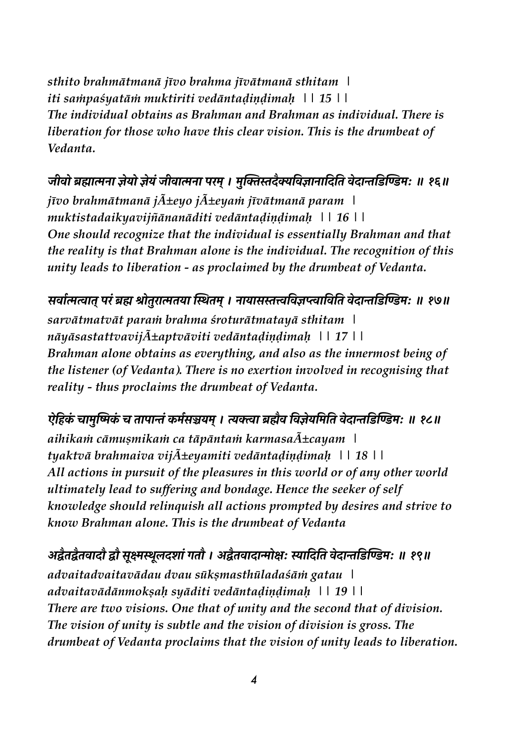*sthito brahmātmanā jīvo brahma jīvātmanā sthitam | iti saṁpaśyatāṁ muktiriti vedāntaḍiṇḍimaḥ || 15 || The individual obtains as Brahman and Brahman as individual. There is liberation for those who have this clear vision. This is the drumbeat of Vedanta.*

जीवो ब्रह्मात्मना ज्ञेयो ज्ञेयं जीवात्मना परम् । मुक्तिस्तदैक्यविज्ञानादिति वेदान्तडिण्डिम: ॥ १६॥ *jīvo brahmātmanā jñeyo jñeyaṁ jīvātmanā param | muktistadaikyavijñānanāditi vedāntaḍiṇḍimaḥ || 16 || One should recognize that the individual is essentially Brahman and that the reality is that Brahman alone is the individual. The recognition of this unity leads to liberation - as proclaimed by the drumbeat of Vedanta.* 

सर्वात्मत्वात् परं ब्रह्म श्रोतुरात्मतया स्थितम् । नायासस्तत्त्वविज्ञप्त्वाविति वेदान्तडिण्डिमः ॥ १७॥ *sarvātmatvāt paraṁ brahma śroturātmatayā sthitam | nāyāsastattvavij* $\tilde{A}$  $\pm$ aptv*āviti vedāntaḍiṇḍimaḥ* || 17 || *Brahman alone obtains as everything, and also as the innermost being of the listener (of Vedanta). There is no exertion involved in recognising that reality - thus proclaims the drumbeat of Vedanta.* 

ऐहिकं चामुष्मिकं च तापान्तं कर्मसञ्चयम् । त्यक्त्वा ब्रह्मैव विज्ञेयमिति वेदान्तडिण्डिमः ॥ १८॥ *aihikaṁ cāmuṣmikaṁ ca tāpāntaṁ karmasañcayam | tyaktvā brahmaiva vijñeyamiti vedāntaḍiṇḍimaḥ || 18 || All actions in pursuit of the pleasures in this world or of any other world ultimately lead to suffering and bondage. Hence the seeker of self knowledge should relinquish all actions prompted by desires and strive to know Brahman alone. This is the drumbeat of Vedanta*

 $\frac{1}{2}$ अद्वैतद्वैतवादौ द्वौ सूक्ष्मस्थूलदशां गतौ । अद्वैतवादान्मोक्षः स्यादिति वेदान्तडिण्डिमः ॥ १९॥ *advaitadvaitavādau dvau sūkṣmasthūladaśāṁ gatau | advaitavādānmokṣaḥ syāditi vedāntaḍiṇḍimaḥ || 19 || There are two visions. One that of unity and the second that of division. The vision of unity is subtle and the vision of division is gross. The drumbeat of Vedanta proclaims that the vision of unity leads to liberation.*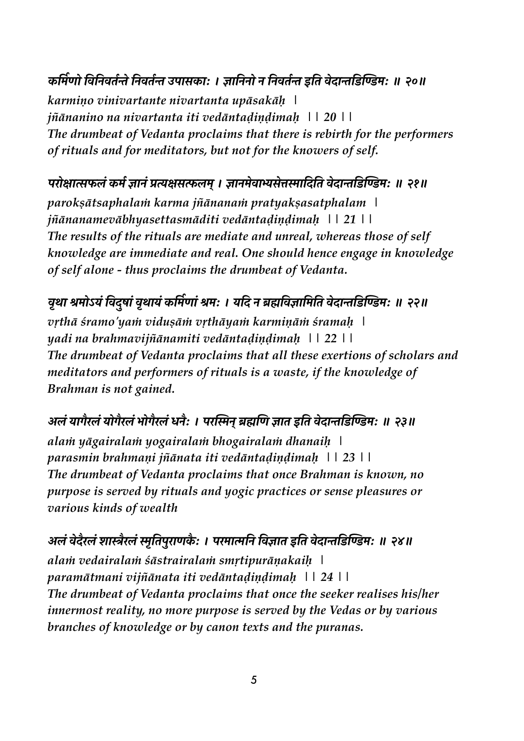## कर्मिणो विनिवर्तन्ते निवर्तन्त उपासकाः । ज्ञानिनो न निवर्तन्त इति वेदान्तडिण्डिमः ॥ २०॥

*karmiṇo vinivartante nivartanta upāsakāḥ | jñānanino na nivartanta iti vedāntaḍiṇḍimaḥ || 20 || The drumbeat of Vedanta proclaims that there is rebirth for the performers of rituals and for meditators, but not for the knowers of self.* 

#### **I80;\$SA- p\* B\$HAi;@S\*5। B\$H\*"!\$w@"9\$ #Y 4' !"#\$% &' () \*[ <sup>D</sup> \ED**

*parokṣātsaphalaṁ karma jñānanaṁ pratyakṣasatphalam | jñānanamevābhyasettasmāditi vedāntaḍiṇḍimaḥ || 21 || The results of the rituals are mediate and unreal, whereas those of self knowledge are immediate and real. One should hence engage in knowledge of self alone - thus proclaims the drumbeat of Vedanta.* 

## वृथा श्रमोऽयं विदुषां वृथायं कर्मिणां श्रमः । यदि न ब्रह्मविज्ञामिति वेदान्तडिण्डिमः ॥ २२॥

*vṛthā śramo'yaṁ viduṣāṁ vṛthāyaṁ karmiṇāṁ śramaḥ | yadi na brahmavijñānamiti vedāntaḍiṇḍimaḥ || 22 || The drumbeat of Vedanta proclaims that all these exertions of scholars and meditators and performers of rituals is a waste, if the knowledge of Brahman is not gained.* 

#### **6SA2\$eW8SA20eW8SAN0eW8SAHW[ । I8 H5UV =< B\$4 <sup>x</sup> 4' !"#\$% &' () \*[ <sup>D</sup> \cD**

*alaṁ yāgairalaṁ yogairalaṁ bhogairalaṁ dhanaiḥ | parasmin brahmaṇi jñānata iti vedāntaḍiṇḍimaḥ || 23 || The drumbeat of Vedanta proclaims that once Brahman is known, no purpose is served by rituals and yogic practices or sense pleasures or various kinds of wealth*

अलं वेदैरलं शास्त्रैरलं स्मृतिपुराणकैः । परमात्मनि विज्ञात इति वेदान्तडिण्डिमः ॥ २४॥ *alaṁ vedairalaṁ śāstrairalaṁ smṛtipurāṇakaiḥ | paramātmani vijñānata iti vedāntaḍiṇḍimaḥ || 24 || The drumbeat of Vedanta proclaims that once the seeker realises his/her innermost reality, no more purpose is served by the Vedas or by various branches of knowledge or by canon texts and the puranas.*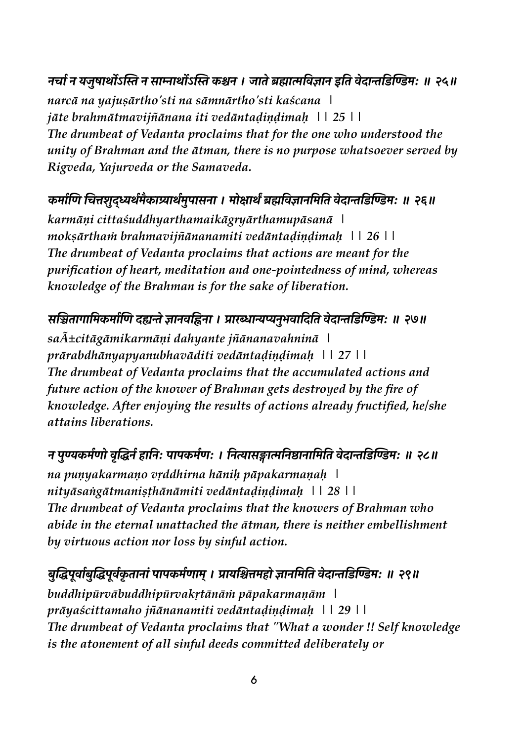नर्चा न यजुषार्थोऽस्ति न साम्नार्थोऽस्ति कश्चन । जाते ब्रह्मात्मविज्ञान इति वेदान्तडिण्डिमः ॥ २५॥ *narcā na yajuṣārtho'sti na sāmnārtho'sti kaścana | jāte brahmātmavijñānana iti vedāntaḍiṇḍimaḥ || 25 || The drumbeat of Vedanta proclaims that for the one who understood the unity of Brahman and the ātman, there is no purpose whatsoever served by Rigveda, Yajurveda or the Samaveda.* 

## कर्माणि चित्तशुद्ध्यर्थमैकाग्र्यार्थमुपासना । मोक्षार्थं ब्रह्मविज्ञानमिति वेदान्तडिण्डिम: ॥ २६॥

*karmāṇi cittaśuddhyarthamaikāgryārthamupāsanā | mokṣārthaṁ brahmavijñānanamiti vedāntaḍiṇḍimaḥ || 26 || The drumbeat of Vedanta proclaims that actions are meant for the purification of heart, meditation and one-pointedness of mind, whereas knowledge of the Brahman is for the sake of liberation.* 

## सञ्चितागामिकर्माणि दह्यन्ते ज्ञानवह्निना । प्रारब्धान्यप्यनुभवादिति वेदान्तडिण्डिमः ॥ २७॥

*sañcitāgāmikarmāṇi dahyante jñānanavahninā | prārabdhānyapyanubhavāditi vedāntaḍiṇḍimaḥ || 27 || The drumbeat of Vedanta proclaims that the accumulated actions and future action of the knower of Brahman gets destroyed by the fire of knowledge. After enjoying the results of actions already fructified, he/she attains liberations.* 

## न पुण्यकर्मणो वृद्धिर्न हानिः पापकर्मणः । नित्यासङ्गात्मनिष्ठानामिति वेदान्तडिण्डिमः ॥ २८॥

*na puṇyakarmaṇo vṛddhirna hāniḥ pāpakarmaṇaḥ | nityāsaṅgātmaniṣṭhānāmiti vedāntaḍiṇḍimaḥ || 28 || The drumbeat of Vedanta proclaims that the knowers of Brahman who abide in the eternal unattached the ātman, there is neither embellishment by virtuous action nor loss by sinful action.* 

## बुद्धिपूर्वाबुद्धिपूर्वकृतानां पापकर्मणाम् । प्रायश्चित्तमहो ज्ञानमिति वेदान्तडिण्डिमः ॥ २९॥

*buddhipūrvābuddhipūrvakṛtānāṁ pāpakarmaṇām | prāyaścittamaho jñānanamiti vedāntaḍiṇḍimaḥ || 29 || The drumbeat of Vedanta proclaims that "What a wonder !! Self knowledge is the atonement of all sinful deeds committed deliberately or*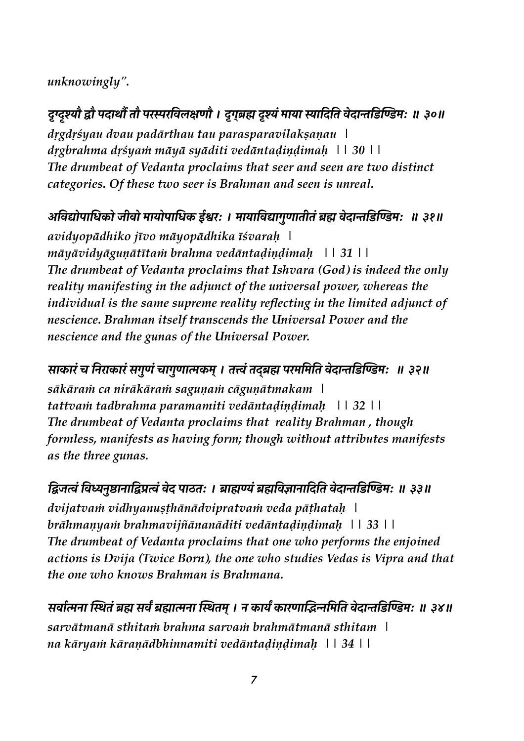### unknowingly".

## दुग्दुश्यौ द्वौ पदार्थौ तौ परस्परविलक्षणौ । दुगुब्रह्म दृश्यं माया स्यादिति वेदान्तडिण्डिम: ॥ ३०॥

drgdrśyau dvau padārthau tau parasparavilaksanau | drgbrahma drśyam māyā syāditi vedāntadindimah  $\pm 30$  | | The drumbeat of Vedanta proclaims that seer and seen are two distinct categories. Of these two seer is Brahman and seen is unreal.

## अविद्योपाधिको जीवो मायोपाधिक ईश्वरः । मायाविद्यागुणातीतं ब्रह्म वेदान्तडिण्डिमः ॥ ३१॥

avidyopādhiko jīvo māyopādhika īśvarah | māyāvidyāguņātītam brahma vedāntadiņdimah | | 31 | | The drumbeat of Vedanta proclaims that Ishvara (God) is indeed the only reality manifesting in the adjunct of the universal power, whereas the individual is the same supreme reality reflecting in the limited adjunct of nescience. Brahman itself transcends the Universal Power and the nescience and the gunas of the Universal Power.

#### साकारं च निराकारं सगुणं चागुणात्मकम् । तत्त्वं तदब्रह्म परममिति वेदान्तडिण्डिमः ॥ ३२॥

sākāram ca nirākāram sagunam cāguņātmakam | tattvam tadbrahma paramamiti vedāntadindimah  $\vert$  | 32 | | The drumbeat of Vedanta proclaims that reality Brahman, though formless, manifests as having form; though without attributes manifests as the three gunas.

#### द्विजत्वं विध्यनुष्ठानाद्विप्रत्वं वेद पाठतः । ब्राह्मण्यं ब्रह्मविज्ञानादिति वेदान्तडिण्डिमः ॥ ३३॥

dvijatvam vidhyanusthānādvipratvam veda pāthatah | brāhmanyam brahmavijñānanāditi vedāntadindimah \\ 33\\ \ The drumbeat of Vedanta proclaims that one who performs the enjoined actions is Dvija (Twice Born), the one who studies Vedas is Vipra and that the one who knows Brahman is Brahmana.

सर्वात्मना स्थितं ब्रह्म सर्वं ब्रह्मात्मना स्थितम् । न कार्यं कारणाद्भिन्नमिति वेदान्तडिण्डिमः ॥ ३४॥ sarvātmanā sthitam brahma sarvam brahmātmanā sthitam \ na kāryam kāraņādbhinnamiti vedāntadiņdimah | | 34 | |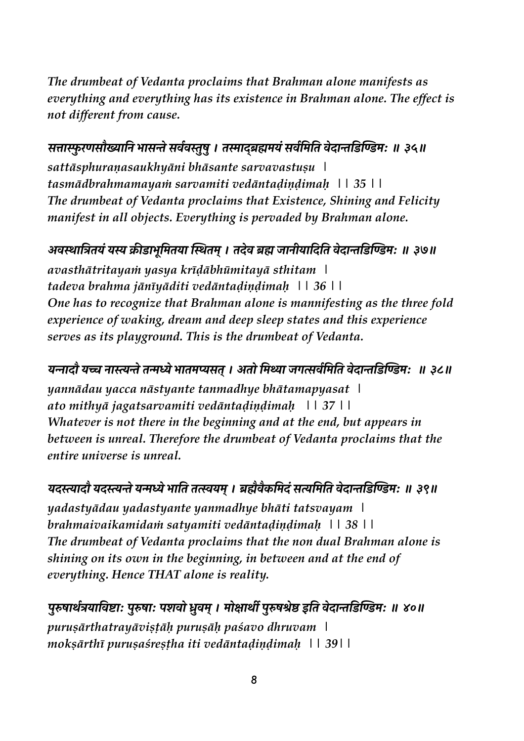*The drumbeat of Vedanta proclaims that Brahman alone manifests as everything and everything has its existence in Brahman alone. The effect is not different from cause.* 

## सत्तास्फुरणसौख्यानि भासन्ते सर्ववस्तुषु । तस्माद्ब्रह्ममयं सर्वमिति वेदान्तडिण्डिमः ॥ ३५॥

*sattāsphuraṇasaukhyāni bhāsante sarvavastuṣu | tasmādbrahmamayaṁ sarvamiti vedāntaḍiṇḍimaḥ || 35 || The drumbeat of Vedanta proclaims that Existence, Shining and Felicity manifest in all objects. Everything is pervaded by Brahman alone.* 

#### अवस्थात्रितयं यस्य क्रीडाभूमितया स्थितम् । तदेव ब्रह्म जानीयादिति वेदान्तडिण्डिमः ॥ ३७॥

*avasthātritayaṁ yasya krīḍābhūmitayā sthitam | tadeva brahma jānīyāditi vedāntaḍiṇḍimaḥ || 36 || One has to recognize that Brahman alone is mannifesting as the three fold experience of waking, dream and deep sleep states and this experience serves as its playground. This is the drumbeat of Vedanta.* 

## यन्नादौ यच्च नास्त्यन्ते तन्मध्ये भातमप्यसत् । अतो मिथ्या जगत्सर्वमिति वेदान्तडिण्डिमः ॥ ३८॥

*yannādau yacca nāstyante tanmadhye bhātamapyasat | ato mithyā jagatsarvamiti vedāntaḍiṇḍimaḥ || 37 || Whatever is not there in the beginning and at the end, but appears in between is unreal. Therefore the drumbeat of Vedanta proclaims that the entire universe is unreal.* 

यदस्त्यादौ यदस्त्यन्ते यन्मध्ये भाति तत्स्वयम् । ब्रह्मैवैकमिदं सत्यमिति वेदान्तडिण्डिमः ॥ ३९॥ *yadastyādau yadastyante yanmadhye bhāti tatsvayam | brahmaivaikamidaṁ satyamiti vedāntaḍiṇḍimaḥ || 38 || The drumbeat of Vedanta proclaims that the non dual Brahman alone is shining on its own in the beginning, in between and at the end of everything. Hence THAT alone is reality.*

पुरुषार्थत्रयाविष्टाः पुरुषाः पशवो ध्रुवम् । मोक्षार्थी पुरुषश्रेष्ठ इति वेदान्तडिण्डिमः ॥ ४०॥ *puruṣārthatrayāviṣṭāḥ puruṣāḥ paśavo dhruvam | mokṣārthī puruṣaśreṣṭha iti vedāntaḍiṇḍimaḥ || 39||*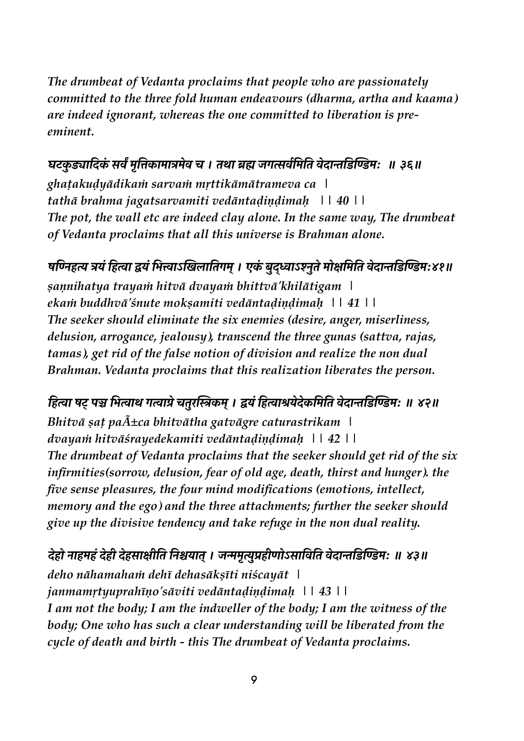The drumbeat of Vedanta proclaims that people who are passionately committed to the three fold human endeavours (dharma, artha and kaama) are indeed ignorant, whereas the one committed to liberation is preeminent.

### घटकुड्यादिकं सर्वं मृत्तिकामात्रमेव च । तथा ब्रह्म जगत्सर्वमिति वेदान्तडिण्डिमः ॥ ३६॥

ghatakudyādikam sarvam mrttikāmātrameva ca \ tathā brahma jagatsarvamiti vedāntadiņdimah 1140 | | The pot, the wall etc are indeed clay alone. In the same way, The drumbeat of Vedanta proclaims that all this universe is Brahman alone.

### षण्निहत्य त्रयं हित्वा द्वयं भित्त्वाऽखिलातिगम् । एकं बुद्ध्वाऽश्नुते मोक्षमिति वेदान्तडिण्डिमः४१॥

sannihatya trayam hitvā dvayam bhittvā'khilātigam ekam buddhvā' śnute moksamiti vedāntadindimah | | 41 | | The seeker should eliminate the six enemies (desire, anger, miserliness, delusion, arrogance, jealousy), transcend the three gunas (sattva, rajas, tamas), get rid of the false notion of division and realize the non dual Brahman. Vedanta proclaims that this realization liberates the person.

हित्वा षट् पञ्च भित्वाथ गत्वाग्रे चतुरस्त्रिकम् । द्वयं हित्वाश्रयेदेकमिति वेदान्तडिण्डिम: ॥ ४२॥ Bhitvā sat pa $\tilde{A}$ ±ca bhitvātha gatvāgre caturastrikam | dvayam hitvāśrayedekamiti vedāntadindimah | | 42 | | The drumbeat of Vedanta proclaims that the seeker should get rid of the six infirmities(sorrow, delusion, fear of old age, death, thirst and hunger). the five sense pleasures, the four mind modifications (emotions, intellect, memory and the ego) and the three attachments; further the seeker should give up the divisive tendency and take refuge in the non dual reality.

## देहो नाहमहं देही देहसाक्षीति निश्चयात् । जन्ममृत्युप्रहीणोऽसाविति वेदान्तडिण्डिमः ॥ ४३॥ deho nāhamaham dehī dehasāksīti niścayāt |

janmamrtyuprahīņo'sāviti vedāntadiņdimah 114311 I am not the body; I am the indweller of the body; I am the witness of the body; One who has such a clear understanding will be liberated from the cycle of death and birth - this The drumbeat of Vedanta proclaims.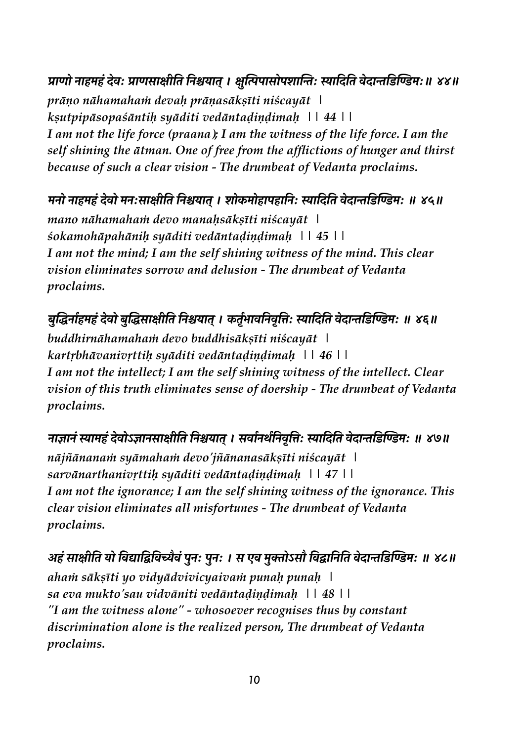प्राणो नाहमहं देवः प्राणसाक्षीति निश्चयात् । क्षुत्पिपासोपशान्तिः स्यादिति वेदान्तडिण्डिमः॥ ४४॥ prāņo nāhamaham devah prāņasāksīti niścayāt | ksutpipāsopaśāntih syāditi vedāntadiņdimah 114411 I am not the life force (praana); I am the witness of the life force. I am the self shining the ātman. One of free from the afflictions of hunger and thirst because of such a clear vision - The drumbeat of Vedanta proclaims.

## मनो नाहमहं देवो मनःसाक्षीति निश्चयात् । शोकमोहापहानिः स्यादिति वेदान्तडिण्डिमः ॥ ४५॥

mano nāhamaham devo manahsāksīti niścayāt | sokamohāpahānih syāditi vedāntadindimah | | 45 | | I am not the mind; I am the self shining witness of the mind. This clear vision eliminates sorrow and delusion - The drumbeat of Vedanta proclaims.

बुद्धिर्नाहमहं देवो बुद्धिसाक्षीति निश्चयात् । कर्तृभावनिवृत्तिः स्यादिति वेदान्तडिण्डिमः ॥ ४६॥

buddhirnāhamaham devo buddhisāksīti niścayāt | kartrbhāvanivrttih syāditi vedāntadiņdimah 1146 | | I am not the intellect; I am the self shining witness of the intellect. Clear vision of this truth eliminates sense of doership - The drumbeat of Vedanta proclaims.

नाज्ञानं स्यामहं देवोऽज्ञानसाक्षीति निश्चयात् । सर्वानर्थनिवृत्तिः स्यादिति वेदान्तडिण्डिमः ॥ ४७॥ nājñānanam syāmaham devo'jñānanasāksīti niścayāt | sarvānarthanivrttih syāditi vedāntadiņdimah | | 47 | | I am not the ignorance; I am the self shining witness of the ignorance. This clear vision eliminates all misfortunes - The drumbeat of Vedanta proclaims.

## अहं साक्षीति यो विद्याद्विविच्यैवं पुनः पुनः । स एव मुक्तोऽसौ विद्वानिति वेदान्तडिण्डिमः ॥ ४८॥

aham sāksīti yo vidyādvivicyaivam punah punah \ sa eva mukto'sau vidvāniti vedāntadindimah | | 48 | | "I am the witness alone" - whosoever recognises thus by constant discrimination alone is the realized person, The drumbeat of Vedanta proclaims.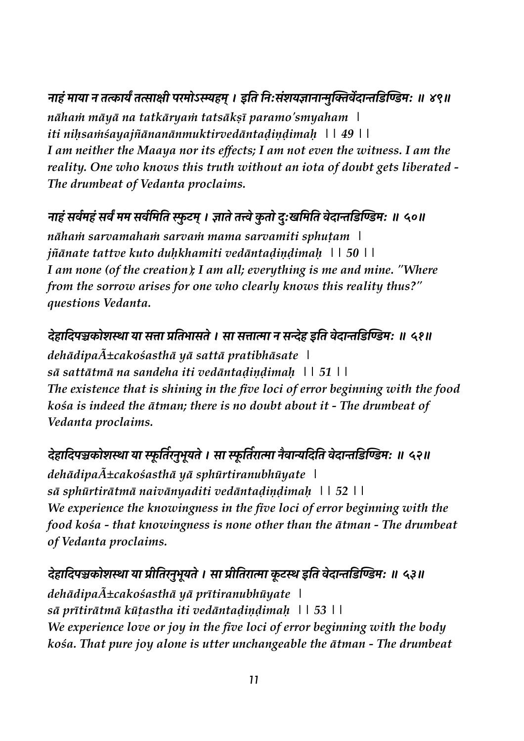## नाहं माया न तत्कार्यं तत्साक्षी परमोऽस्म्यहम् । इति निःसंशयज्ञानान्मुक्तिर्वेदान्तडिण्डिमः ॥ ४९॥

nāham māyā na tatkāryam tatsāksī paramo'smyaham \ iti nihsamśayajñānanānmuktirvedāntadindimah | | 49 | | I am neither the Maaya nor its effects; I am not even the witness. I am the reality. One who knows this truth without an iota of doubt gets liberated -The drumbeat of Vedanta proclaims.

## नाहं सर्वमहं सर्वं मम सर्वमिति स्फुटम् । ज्ञाते तत्त्वे कुतो दुःखमिति वेदान्तडिण्डिमः ॥ ५०॥

nāham sarvamaham sarvam mama sarvamiti sphutam \ jñānate tattve kuto duhkhamiti vedāntadindimah | | 50 | | I am none (of the creation); I am all; everything is me and mine. "Where from the sorrow arises for one who clearly knows this reality thus?" questions Vedanta.

## देहादिपञ्चकोशस्था या सत्ता प्रतिभासते । सा सत्तात्मा न सन्देह इति वेदान्तडिण्डिमः ॥ ५१॥

dehādipa $\tilde{A}$ ±cakośasthā yā sattā pratibhāsate | sā sattātmā na sandeha iti vedāntadiņdimah 115111 The existence that is shining in the five loci of error beginning with the food kośa is indeed the ātman; there is no doubt about it - The drumbeat of Vedanta proclaims.

## देहादिपञ्चकोशस्था या स्फूर्तिरनुभूयते । सा स्फूर्तिरात्मा नैवान्यदिति वेदान्तडिण्डिमः ॥ ५२॥

dehādipa $\tilde{A}$ ±cakośasthā yā sphūrtiranubhūyate \  $s\bar{a}$  sphūrtirātmā naivānyaditi vedāntadiņdimah  $| \cdot | \cdot | \cdot |$  52  $| \cdot |$ We experience the knowingness in the five loci of error beginning with the food kośa - that knowingness is none other than the  $\bar{a}$ tman - The drumbeat of Vedanta proclaims.

## देहादिपञ्चकोशस्था या प्रीतिरनुभूयते । सा प्रीतिरात्मा कूटस्थ इति वेदान्तडिण्डिमः ॥ ५३॥

 $deh\bar{a}dipa\tilde{A}\pm cako\acute{s}asth\bar{a}$  ya prītiranubhūyate | sā prītirātmā kūtastha iti vedāntadiņdimah 115311 We experience love or joy in the five loci of error beginning with the body kośa. That pure joy alone is utter unchangeable the ātman - The drumbeat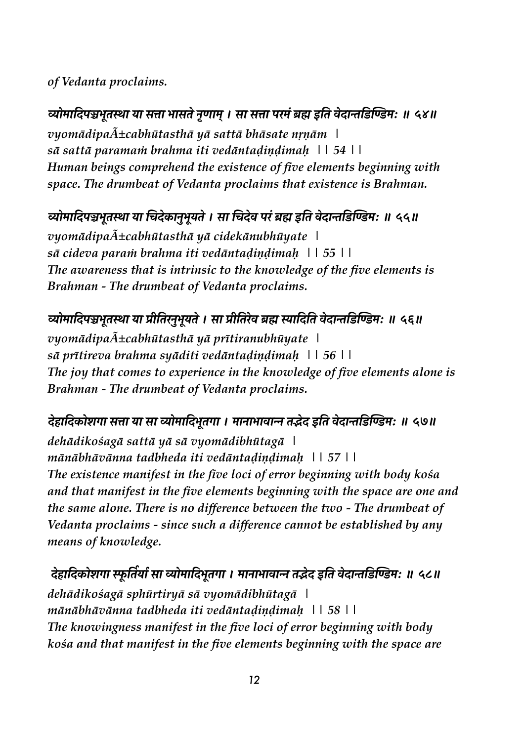#### *of Vedanta proclaims.*

व्योमादिपञ्चभूतस्था या सत्ता भासते नृणाम् । सा सत्ता परमं ब्रह्म इति वेदान्तडिण्डिमः ॥ ५४॥ *vyomādipañcabhūtasthā yā sattā bhāsate nṛṇām | sā sattā paramaṁ brahma iti vedāntaḍiṇḍimaḥ || 54 || Human beings comprehend the existence of five elements beginning with space. The drumbeat of Vedanta proclaims that existence is Brahman.*

## व्योमादिपञ्चभूतस्था या चिदेकानुभूयते । सा चिदेव परं ब्रह्म इति वेदान्तडिण्डिम: ॥ ५५॥

*vyomādipa* $\tilde{A}$  $\pm$ cabhūtasthā yā cidekānubhūyate | *sā cideva paraṁ brahma iti vedāntaḍiṇḍimaḥ || 55 || The awareness that is intrinsic to the knowledge of the five elements is Brahman - The drumbeat of Vedanta proclaims.* 

#### व्योमादिपञ्चभूतस्था या प्रीतिरनुभूयते । सा प्रीतिरेव ब्रह्म स्यादिति वेदान्तडिण्डिमः ॥ ५६॥

*vyomādipa* $\tilde{A}$  $\pm$ cabhūtasthā yā prītiranubhūyate | *sā prītireva brahma syāditi vedāntaḍiṇḍimaḥ || 56 || The joy that comes to experience in the knowledge of five elements alone is Brahman - The drumbeat of Vedanta proclaims.* 

#### देहादिकोशगा सत्ता या सा व्योमादिभूतगा । मानाभावान्न तद्भेद इति वेदान्तडिण्डिमः ॥ ५७॥

*dehādikośagā sattā yā sā vyomādibhūtagā | mānābhāvānna tadbheda iti vedāntaḍiṇḍimaḥ || 57 || The existence manifest in the five loci of error beginning with body kośa and that manifest in the five elements beginning with the space are one and the same alone. There is no difference between the two - The drumbeat of Vedanta proclaims - since such a difference cannot be established by any means of knowledge.* 

**#"X\$ #Y -0e\$ ²>'4 ? 2\$p@\$ n0\*\$ #Y N>4e\$ । \*\$H\$N\$!\$± 4°"# <sup>x</sup> 4' !"#\$% &' () \*[ <sup>D</sup> k{D** *dehādikośagā sphūrtiryā sā vyomādibhūtagā | mānābhāvānna tadbheda iti vedāntaḍiṇḍimaḥ || 58 || The knowingness manifest in the five loci of error beginning with body kośa and that manifest in the five elements beginning with the space are*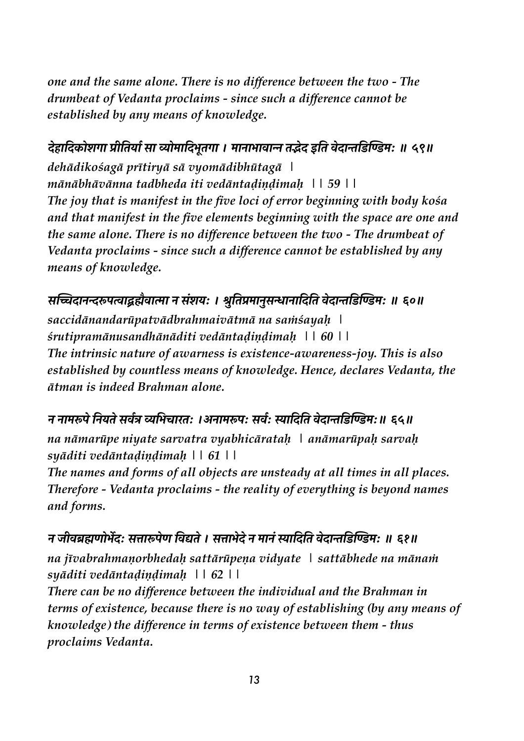one and the same alone. There is no difference between the two - The drumbeat of Vedanta proclaims - since such a difference cannot be established by any means of knowledge.

### देहादिकोशगा प्रीतिर्या सा व्योमादिभूतगा । मानाभावान्न तद्भेद इति वेदान्तडिण्डिमः ॥ ५९॥

dehādikośagā prītiryā sā vyomādibhūtagā \ mānābhāvānna tadbheda iti vedāntadindimah \| 59 \| The joy that is manifest in the five loci of error beginning with body kośa and that manifest in the five elements beginning with the space are one and the same alone. There is no difference between the two - The drumbeat of Vedanta proclaims - since such a difference cannot be established by any means of knowledge.

### सच्चिदानन्दरूपत्वाद्ब्रह्मैवात्मा न संशयः । श्रुतिप्रमानुसन्धानादिति वेदान्तडिण्डिमः ॥ ६०॥

saccidānandarūpatvādbrahmaivātmā na samśayah | śrutipramānusandhānāditi vedāntadiņdimah | | 60 | | The intrinsic nature of awarness is existence-awareness-joy. This is also established by countless means of knowledge. Hence, declares Vedanta, the ātman is indeed Brahman alone.

#### न नामरूपे नियते सर्वत्र व्यभिचारतः ।अनामरूपः सर्वः स्यादिति वेदान्तडिण्डिमः॥ ६५॥

na nāmarūpe niyate sarvatra vyabhicāratah | anāmarūpah sarvah syāditi vedāntadindimah  $| \cdot | 61 \cdot |$ 

The names and forms of all objects are unsteady at all times in all places. Therefore - Vedanta proclaims - the reality of everything is beyond names and forms.

#### न जीवब्रह्मणोर्भेद: सत्तारूपेण विद्यते । सत्ताभेदे न मानं स्यादिति वेदान्तडिण्डिम: ॥ ६१॥

na jīvabrahmanorbhedah sattārūpena vidyate | sattābhede na mānam syāditi vedāntadindimah | | 62 | |

There can be no difference between the individual and the Brahman in terms of existence, because there is no way of establishing (by any means of knowledge) the difference in terms of existence between them - thus proclaims Vedanta.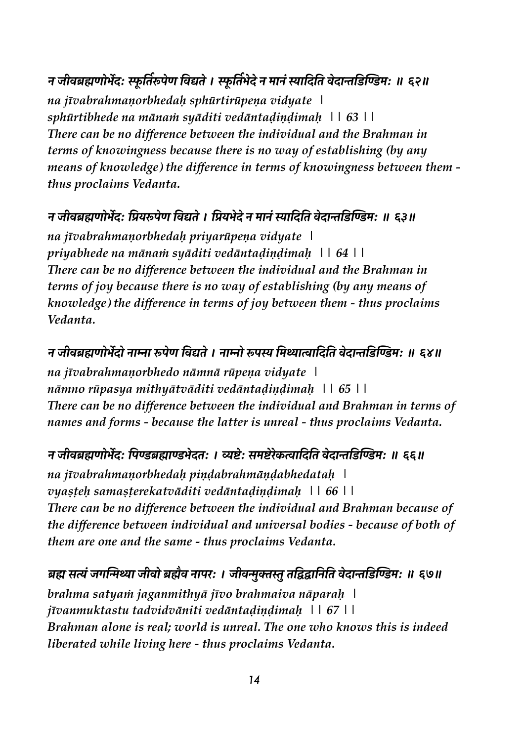## न जीवब्रह्मणोर्भेदः स्फूर्तिरूपेण विद्यते । स्फूर्तिभेदे न मानं स्यादिति वेदान्तडिण्डिमः ॥ ६२॥

*na jīvabrahmaṇorbhedaḥ sphūrtirūpeṇa vidyate | sphūrtibhede na mānaṁ syāditi vedāntaḍiṇḍimaḥ || 63 || There can be no difference between the individual and the Brahman in terms of knowingness because there is no way of establishing (by any means of knowledge) the difference in terms of knowingness between them thus proclaims Vedanta.* 

#### न जीवब्रह्मणोर्भेद: प्रियरूपेण विद्यते । प्रियभेदे न मानं स्यादिति वेदान्तडिण्डिम: ॥ ६३॥

*na jīvabrahmaṇorbhedaḥ priyarūpeṇa vidyate | priyabhede na mānaṁ syāditi vedāntaḍiṇḍimaḥ || 64 || There can be no difference between the individual and the Brahman in terms of joy because there is no way of establishing (by any means of knowledge) the difference in terms of joy between them - thus proclaims Vedanta.* 

#### न जीवब्रह्मणोर्भेदो नाम्ना रूपेण विद्यते । नाम्नो रूपस्य मिथ्यात्वादिति वेदान्तडिण्डिम: ॥ ६४॥

*na jīvabrahmaṇorbhedo nāmnā rūpeṇa vidyate | nāmno rūpasya mithyātvāditi vedāntaḍiṇḍimaḥ || 65 || There can be no difference between the individual and Brahman in terms of names and forms - because the latter is unreal - thus proclaims Vedanta.* 

#### **<sup>H</sup> :q!UV=0NÉ#[ I' (UV\$(N"#4[ । nl"[ @\*l"8"-R\$ #Y 4' !"#\$% &' () \*[ <sup>D</sup> ttD**

*na jīvabrahmaṇorbhedaḥ piṇḍabrahmāṇḍabhedataḥ | vyaṣṭeḥ samaṣṭerekatvāditi vedāntaḍiṇḍimaḥ || 66 || There can be no difference between the individual and Brahman because of the difference between individual and universal bodies - because of both of them are one and the same - thus proclaims Vedanta.* 

#### ब्रह्म सत्यं जगन्मिथ्या जीवो ब्रह्मैव नापरः । जीवन्मुक्तस्तु तद्विद्वानिति वेदान्तडिण्डिमः ॥ ६७॥

*brahma satyaṁ jaganmithyā jīvo brahmaiva nāparaḥ | jīvanmuktastu tadvidvāniti vedāntaḍiṇḍimaḥ || 67 || Brahman alone is real; world is unreal. The one who knows this is indeed liberated while living here - thus proclaims Vedanta.*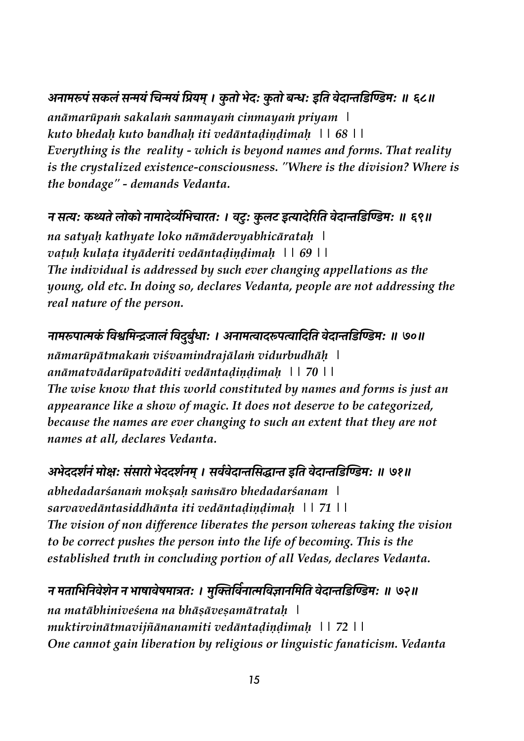#### अनामरूपं सकलं सन्मयं चिन्मयं प्रियम् । कुतो भेदः कुतो बन्धः इति वेदान्तडिण्डिमः ॥ ६८॥

*anāmarūpaṁ sakalaṁ sanmayaṁ cinmayaṁ priyam | kuto bhedaḥ kuto bandhaḥ iti vedāntaḍiṇḍimaḥ || 68 || Everything is the reality - which is beyond names and forms. That reality is the crystalized existence-consciousness. "Where is the division? Where is the bondage" - demands Vedanta.*

### न सत्यः कथ्यते लोको नामादेर्व्यमिचारतः । वटुः कुलट इत्यादेरिति वेदान्तडिण्डिमः ॥ ६९॥

*na satyaḥ kathyate loko nāmādervyabhicārataḥ | vaṭuḥ kulaṭa ityāderiti vedāntaḍiṇḍimaḥ || 69 || The individual is addressed by such ever changing appellations as the young, old etc. In doing so, declares Vedanta, people are not addressing the real nature of the person.*

## नामरूपात्मकं विश्वमिन्द्रजालं विदुर्बुधाः । अनामत्वादरूपत्वादिति वेदान्तडिण्डिमः ॥ ७०॥

*nāmarūpātmakaṁ viśvamindrajālaṁ vidurbudhāḥ | anāmatvādarūpatvāditi vedāntaḍiṇḍimaḥ || 70 || The wise know that this world constituted by names and forms is just an appearance like a show of magic. It does not deserve to be categorized, because the names are ever changing to such an extent that they are not names at all, declares Vedanta.*

## अभेददर्शनं मोक्षः संसारो भेददर्शनम् । सर्ववेदान्तसिद्धान्त इति वेदान्तडिण्डिमः ॥ ७१॥

*abhedadarśanaṁ mokṣaḥ saṁsāro bhedadarśanam | sarvavedāntasiddhānta iti vedāntaḍiṇḍimaḥ || 71 || The vision of non difference liberates the person whereas taking the vision to be correct pushes the person into the life of becoming. This is the established truth in concluding portion of all Vedas, declares Vedanta.* 

#### **<sup>H</sup> \*4\$ N' HY !""H <sup>H</sup> N\$1\$!"1\*\$u4[ । \*.\_O'! ?H\$G'!B\$H'\*'4 !"#\$% &' () \*[ <sup>D</sup> y\D**

*na matābhiniveśena na bhāṣāveṣamātrataḥ | muktirvinātmavijñānanamiti vedāntaḍiṇḍimaḥ || 72 || One cannot gain liberation by religious or linguistic fanaticism. Vedanta*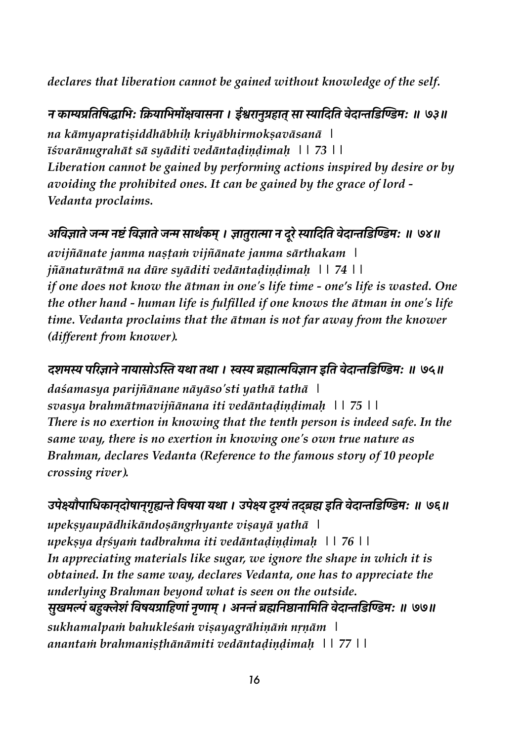*declares that liberation cannot be gained without knowledge of the self.* 

न काम्यप्रतिषिद्धाभिः क्रियाभिर्मोक्षवासना । ईश्वरानुग्रहात् सा स्यादिति वेदान्तडिण्डिमः ॥ ७३॥ *na kāmyapratiṣiddhābhiḥ kriyābhirmokṣavāsanā | īśvarānugrahāt sā syāditi vedāntaḍiṇḍimaḥ || 73 || Liberation cannot be gained by performing actions inspired by desire or by avoiding the prohibited ones. It can be gained by the grace of lord - Vedanta proclaims.* 

## अविज्ञाते जन्म नष्टं विज्ञाते जन्म सार्थकम् । ज्ञातुरात्मा न दूरे स्यादिति वेदान्तडिण्डिमः ॥ ७४॥

*avijñānate janma naṣṭaṁ vijñānate janma sārthakam | jñānaturātmā na dūre syāditi vedāntaḍiṇḍimaḥ || 74 || if one does not know the ātman in one's life time - one's life is wasted. One the other hand - human life is fulfilled if one knows the ātman in one's life time. Vedanta proclaims that the ātman is not far away from the knower (different from knower).* 

दशमस्य परिज्ञाने नायासोऽस्ति यथा तथा । स्वस्य ब्रह्मात्मविज्ञान इति वेदान्तडिण्डिमः ॥ ७५॥

*daśamasya parijñānane nāyāso'sti yathā tathā | svasya brahmātmavijñānana iti vedāntaḍiṇḍimaḥ || 75 || There is no exertion in knowing that the tenth person is indeed safe. In the same way, there is no exertion in knowing one's own true nature as Brahman, declares Vedanta (Reference to the famous story of 10 people crossing river).* 

उपेक्ष्यौपाधिकानदोषानगुह्यन्ते विषया यथा । उपेक्ष्य दुश्यं तदब्रह्म इति वेदान्तडिण्डिम: ॥ ७६॥ *upekṣyaupādhikāndoṣāngṛhyante viṣayā yathā | upekṣya dṛśyaṁ tadbrahma iti vedāntaḍiṇḍimaḥ || 76 || In appreciating materials like sugar, we ignore the shape in which it is obtained. In the same way, declares Vedanta, one has to appreciate the underlying Brahman beyond what is seen on the outside.*  सुखमल्पं बहुक्लेशं विषयग्राहिणां नृणाम् । अनन्तं ब्रह्मनिष्ठानामिति वेदान्तडिण्डिमः ॥ ७७॥ *sukhamalpaṁ bahukleśaṁ viṣayagrāhiṇāṁ nṛṇām | anantaṁ brahmaniṣṭhānāmiti vedāntaḍiṇḍimaḥ || 77 ||*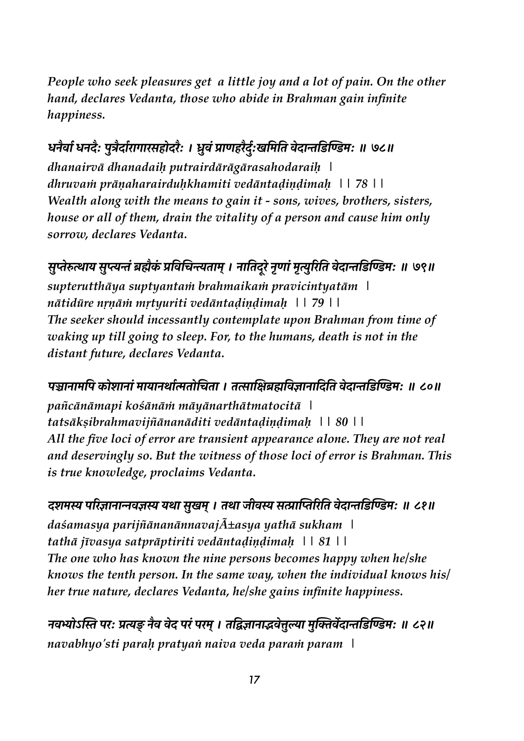People who seek pleasures get a little joy and a lot of pain. On the other hand, declares Vedanta, those who abide in Brahman gain infinite happiness.

## धनैर्वा धनदैः पुत्रैर्दारागारसहोदरैः । ध्रुवं प्राणहरैर्दुःखमिति वेदान्तडिण्डिमः ॥ ७८॥

dhanairvā dhanadaih putrairdārāgārasahodaraih | dhruvam prāņaharairduhkhamiti vedāntadiņdimah 1178 | | Wealth along with the means to gain it - sons, wives, brothers, sisters, house or all of them, drain the vitality of a person and cause him only sorrow, declares Vedanta.

## सुप्तेरुत्थाय सुप्त्यन्तं ब्रह्मैकं प्रविचिन्त्यताम् । नातिदूरे नृणां मृत्युरिति वेदान्तडिण्डिमः ॥ ७९॥ supterutthāya suptyantam brahmaikam pravicintyatām \ nātidūre nrnām mrtyuriti vedāntadindimah \\ 79\\

The seeker should incessantly contemplate upon Brahman from time of waking up till going to sleep. For, to the humans, death is not in the distant future, declares Vedanta.

#### पञ्चानामपि कोशानां मायानर्थात्मतोचिता । तत्साक्षिब्रह्मविज्ञानादिति वेदान्तडिण्डिम: ॥ ८०॥

pañcānāmapi kośānām māyānarthātmatocitā | tatsāksibrahmavijñānanāditi vedāntadiņdimah | | 80 | | All the five loci of error are transient appearance alone. They are not real and deservingly so. But the witness of those loci of error is Brahman. This is true knowledge, proclaims Vedanta.

# दशमस्य परिज्ञानान्नवज्ञस्य यथा सुखम् । तथा जीवस्य सत्प्राप्तिरिति वेदान्तडिण्डिमः ॥ ८१॥

 $da\acute{s}amasya parijn\bar{a}nan\bar{a}nnavaj\tilde{A}$  $\pm asya$  ya*th*ā sukham  $\pm$ tathā jīvasya satprāptiriti vedāntadindimah \\ 81\ The one who has known the nine persons becomes happy when he/she knows the tenth person. In the same way, when the individual knows his/ her true nature, declares Vedanta, he/she gains infinite happiness.

नवभ्योऽस्ति परः प्रत्यङ् नैव वेद परं परम् । तद्विज्ञानाद्भवेत्तुल्या मुक्तिर्वेदान्तडिण्डिमः ॥ ८२॥ navabhyo'sti parah pratyan naiva veda param param |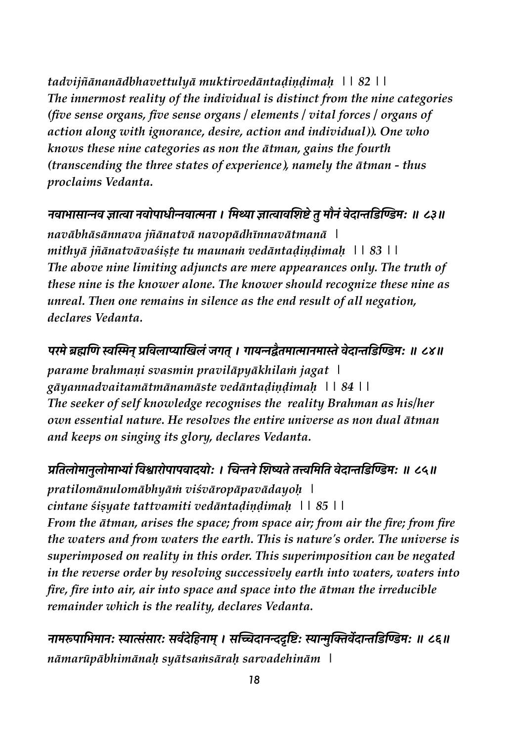tadvijñānanādbhavettulyā muktirvedāntadiņdimah | | 82 | | The innermost reality of the individual is distinct from the nine categories (five sense organs, five sense organs  $\ell$  elements  $\ell$  vital forces  $\ell$  organs of action along with ignorance, desire, action and individual)). One who knows these nine categories as non the *ātman*, gains the fourth (transcending the three states of experience), namely the  $\bar{a}$ tman - thus proclaims Vedanta.

#### नवाभासान्नव ज्ञात्वा नवोपाधीन्नवात्मना । मिथ्या ज्ञात्वावशिष्टे तु मौनं वेदान्तडिण्डिम: ॥ ८३॥

navābhāsānnava jñānatvā navopādhīnnavātmanā \ mithyā jñānatvāvaśiste tu maunam vedāntadindimah 118311 The above nine limiting adjuncts are mere appearances only. The truth of these nine is the knower alone. The knower should recognize these nine as unreal. Then one remains in silence as the end result of all negation, declares Vedanta.

#### परमे ब्रह्मणि स्वस्मिन प्रविलाप्याखिलं जगत । गायन्नद्वैतमात्मानमास्ते वेदान्तडिण्डिमः ॥ ८४॥

parame brahmani svasmin pravilāpyākhilam jagat gāyannadvaitamātmānamāste vedāntadindimah | | 84 | | The seeker of self knowledge recognises the reality Brahman as his/her own essential nature. He resolves the entire universe as non dual ātman and keeps on singing its glory, declares Vedanta.

#### प्रतिलोमानुलोमाभ्यां विश्वारोपापवादयोः । चिन्तने शिष्यते तत्त्वमिति वेदान्तडिण्डिमः ॥ ८५॥

pratilomānulomābhyām viśvāropāpavādayoh | cintane sisuate tattvamiti vedāntadindimah \ \ 85 \ \ From the ātman, arises the space; from space air; from air the fire; from fire the waters and from waters the earth. This is nature's order. The universe is superimposed on reality in this order. This superimposition can be negated in the reverse order by resolving successively earth into waters, waters into fire, fire into air, air into space and space into the atman the irreducible remainder which is the reality, declares Vedanta.

नामरूपाभिमानः स्यात्संसारः सर्वदेहिनाम् । सच्चिदानन्ददृष्टिः स्यान्मुक्तिर्वेदान्तडिण्डिमः ॥ ८६॥ nāmarūpābhimānah syātsamsārah sarvadehinām \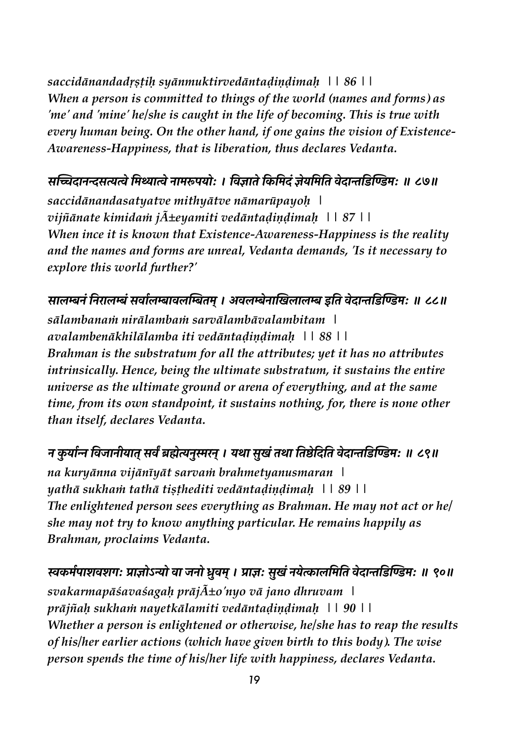saccidānandadrstih syānmuktirvedāntadiņdimah | | 86 | | When a person is committed to things of the world (names and forms) as 'me' and 'mine' he/she is caught in the life of becoming. This is true with every human being. On the other hand, if one gains the vision of Existence-Awareness-Happiness, that is liberation, thus declares Vedanta.

## सच्चिदानन्दसत्यत्वे मिथ्यात्वे नामरूपयोः । विज्ञाते किमिदं ज्ञेयमिति वेदान्तडिण्डिमः ॥ ८७॥

saccidānandasatyatve mithyātve nāmarūpayoh | vijñānate kimidam j $\tilde{A}$ ±eyamiti vedāntadiņdimah | | 87 | | When ince it is known that Existence-Awareness-Happiness is the reality and the names and forms are unreal, Vedanta demands, 'Is it necessary to explore this world further?'

सालम्बनं निरालम्बं सर्वालम्बावलम्बितम् । अवलम्बेनाखिलालम्ब इति वेदान्तडिण्डिमः ॥ ८८॥ sālambanam nirālambam sarvālambāvalambitam \ avalambenākhilālamba iti vedāntadindimah \ \ 88 \ \ Brahman is the substratum for all the attributes; yet it has no attributes intrinsically. Hence, being the ultimate substratum, it sustains the entire universe as the ultimate ground or arena of everything, and at the same time, from its own standpoint, it sustains nothing, for, there is none other than itself, declares Vedanta.

#### न कुर्यान्न विजानीयात् सर्वं ब्रह्मेत्यनुस्मरन् । यथा सुखं तथा तिष्ठेदिति वेदान्तडिण्डिम: ॥ ८९॥

na kuryānna vijānīyāt sarvam brahmetyanusmaran | yathā sukham tathā tisthediti vedāntadindimah \| 89 \\ The enlightened person sees everything as Brahman. He may not act or hel she may not try to know anything particular. He remains happily as Brahman, proclaims Vedanta.

## स्वकर्मपाशवशगः प्राज्ञोऽन्यो वा जनो ध्रुवम् । प्राज्ञः सुखं नयेत्कालमिति वेदान्तडिण्डिमः ॥ ९०॥

svakarmapāśavaśagah prāj $\tilde{A}$ ±o'nyo vā jano dhruvam | prājñah sukham nayetkālamiti vedāntadiņdimah | | 90 | | Whether a person is enlightened or otherwise, he/she has to reap the results of his/her earlier actions (which have given birth to this body). The wise person spends the time of his/her life with happiness, declares Vedanta.